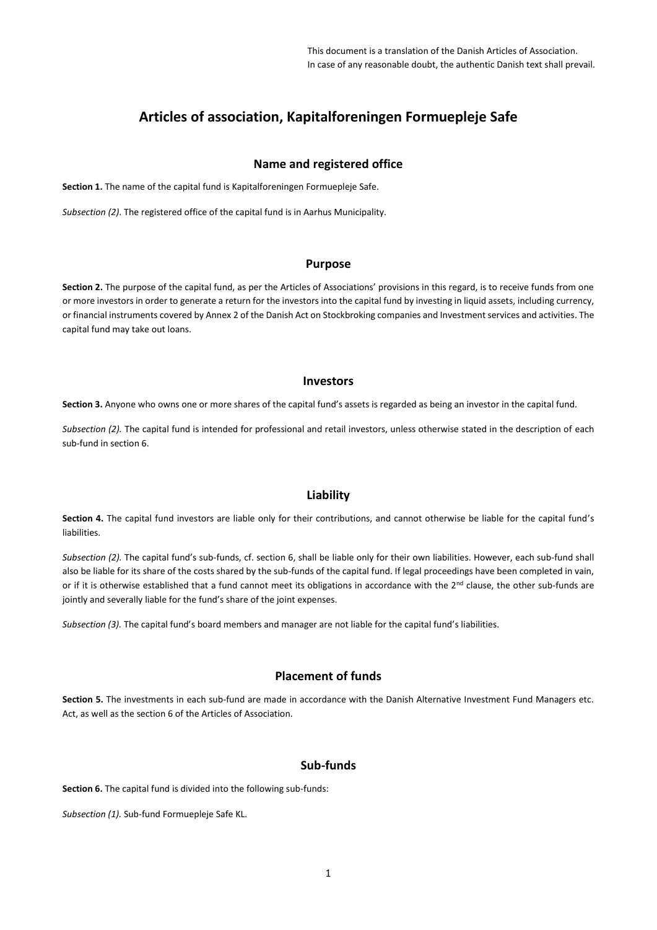# **Articles of association, Kapitalforeningen Formuepleje Safe**

## **Name and registered office**

**Section 1.** The name of the capital fund is Kapitalforeningen Formuepleje Safe.

*Subsection (2)*. The registered office of the capital fund is in Aarhus Municipality.

## **Purpose**

**Section 2.** The purpose of the capital fund, as per the Articles of Associations' provisions in this regard, is to receive funds from one or more investors in order to generate a return for the investors into the capital fund by investing in liquid assets, including currency, or financial instruments covered by Annex 2 of the Danish Act on Stockbroking companies and Investment services and activities. The capital fund may take out loans.

#### **Investors**

**Section 3.** Anyone who owns one or more shares of the capital fund's assets is regarded as being an investor in the capital fund.

*Subsection (2).* The capital fund is intended for professional and retail investors, unless otherwise stated in the description of each sub-fund in section 6.

## **Liability**

**Section 4.** The capital fund investors are liable only for their contributions, and cannot otherwise be liable for the capital fund's liabilities.

*Subsection (2).* The capital fund's sub-funds, cf. section 6, shall be liable only for their own liabilities. However, each sub-fund shall also be liable for its share of the costs shared by the sub-funds of the capital fund. If legal proceedings have been completed in vain, or if it is otherwise established that a fund cannot meet its obligations in accordance with the  $2^{nd}$  clause, the other sub-funds are jointly and severally liable for the fund's share of the joint expenses.

*Subsection (3).* The capital fund's board members and manager are not liable for the capital fund's liabilities.

## **Placement of funds**

**Section 5.** The investments in each sub-fund are made in accordance with the Danish Alternative Investment Fund Managers etc. Act, as well as the section 6 of the Articles of Association.

# **Sub-funds**

**Section 6.** The capital fund is divided into the following sub-funds:

*Subsection (1).* Sub-fund Formuepleje Safe KL.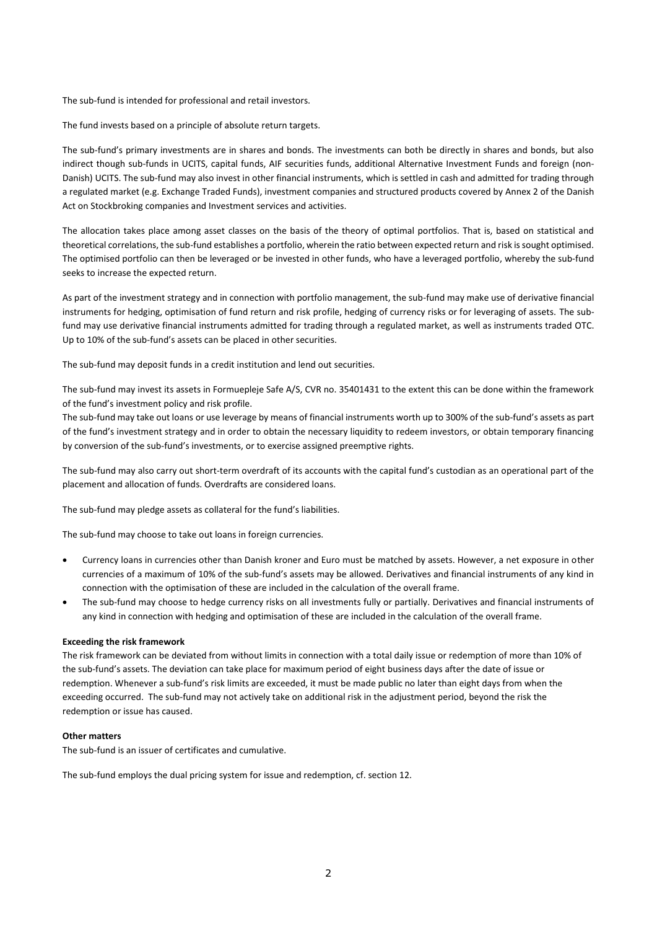The sub-fund is intended for professional and retail investors.

The fund invests based on a principle of absolute return targets.

The sub-fund's primary investments are in shares and bonds. The investments can both be directly in shares and bonds, but also indirect though sub-funds in UCITS, capital funds, AIF securities funds, additional Alternative Investment Funds and foreign (non-Danish) UCITS. The sub-fund may also invest in other financial instruments, which is settled in cash and admitted for trading through a regulated market (e.g. Exchange Traded Funds), investment companies and structured products covered by Annex 2 of the Danish Act on Stockbroking companies and Investment services and activities.

The allocation takes place among asset classes on the basis of the theory of optimal portfolios. That is, based on statistical and theoretical correlations, the sub-fund establishes a portfolio, wherein the ratio between expected return and risk is sought optimised. The optimised portfolio can then be leveraged or be invested in other funds, who have a leveraged portfolio, whereby the sub-fund seeks to increase the expected return.

As part of the investment strategy and in connection with portfolio management, the sub-fund may make use of derivative financial instruments for hedging, optimisation of fund return and risk profile, hedging of currency risks or for leveraging of assets. The subfund may use derivative financial instruments admitted for trading through a regulated market, as well as instruments traded OTC. Up to 10% of the sub-fund's assets can be placed in other securities.

The sub-fund may deposit funds in a credit institution and lend out securities.

The sub-fund may invest its assets in Formuepleje Safe A/S, CVR no. 35401431 to the extent this can be done within the framework of the fund's investment policy and risk profile.

The sub-fund may take out loans or use leverage by means of financial instruments worth up to 300% of the sub-fund's assets as part of the fund's investment strategy and in order to obtain the necessary liquidity to redeem investors, or obtain temporary financing by conversion of the sub-fund's investments, or to exercise assigned preemptive rights.

The sub-fund may also carry out short-term overdraft of its accounts with the capital fund's custodian as an operational part of the placement and allocation of funds. Overdrafts are considered loans.

The sub-fund may pledge assets as collateral for the fund's liabilities.

The sub-fund may choose to take out loans in foreign currencies.

- Currency loans in currencies other than Danish kroner and Euro must be matched by assets. However, a net exposure in other currencies of a maximum of 10% of the sub-fund's assets may be allowed. Derivatives and financial instruments of any kind in connection with the optimisation of these are included in the calculation of the overall frame.
- The sub-fund may choose to hedge currency risks on all investments fully or partially. Derivatives and financial instruments of any kind in connection with hedging and optimisation of these are included in the calculation of the overall frame.

#### **Exceeding the risk framework**

The risk framework can be deviated from without limits in connection with a total daily issue or redemption of more than 10% of the sub-fund's assets. The deviation can take place for maximum period of eight business days after the date of issue or redemption. Whenever a sub-fund's risk limits are exceeded, it must be made public no later than eight days from when the exceeding occurred. The sub-fund may not actively take on additional risk in the adjustment period, beyond the risk the redemption or issue has caused.

#### **Other matters**

The sub-fund is an issuer of certificates and cumulative.

The sub-fund employs the dual pricing system for issue and redemption, cf. section 12.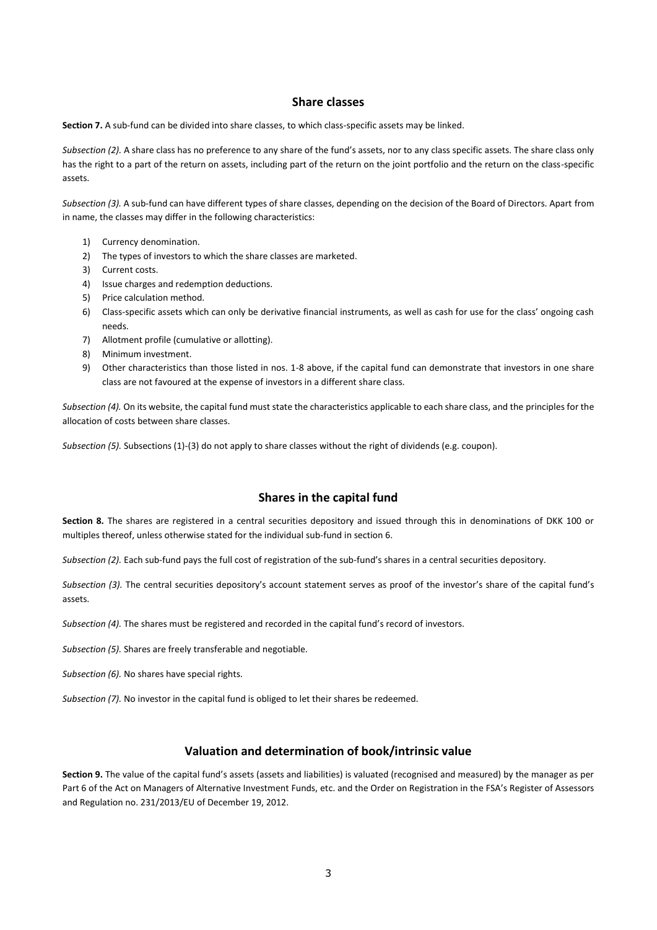### **Share classes**

**Section 7.** A sub-fund can be divided into share classes, to which class-specific assets may be linked.

*Subsection (2).* A share class has no preference to any share of the fund's assets, nor to any class specific assets. The share class only has the right to a part of the return on assets, including part of the return on the joint portfolio and the return on the class-specific assets.

*Subsection (3).* A sub-fund can have different types of share classes, depending on the decision of the Board of Directors. Apart from in name, the classes may differ in the following characteristics:

- 1) Currency denomination.
- 2) The types of investors to which the share classes are marketed.
- 3) Current costs.
- 4) Issue charges and redemption deductions.
- 5) Price calculation method.
- 6) Class-specific assets which can only be derivative financial instruments, as well as cash for use for the class' ongoing cash needs.
- 7) Allotment profile (cumulative or allotting).
- 8) Minimum investment.
- 9) Other characteristics than those listed in nos. 1-8 above, if the capital fund can demonstrate that investors in one share class are not favoured at the expense of investors in a different share class.

*Subsection (4).* On its website, the capital fund must state the characteristics applicable to each share class, and the principles for the allocation of costs between share classes.

*Subsection (5).* Subsections (1)-(3) do not apply to share classes without the right of dividends (e.g. coupon).

## **Shares in the capital fund**

**Section 8.** The shares are registered in a central securities depository and issued through this in denominations of DKK 100 or multiples thereof, unless otherwise stated for the individual sub-fund in section 6.

*Subsection (2).* Each sub-fund pays the full cost of registration of the sub-fund's shares in a central securities depository.

*Subsection (3).* The central securities depository's account statement serves as proof of the investor's share of the capital fund's assets.

*Subsection (4).* The shares must be registered and recorded in the capital fund's record of investors.

*Subsection (5).* Shares are freely transferable and negotiable.

*Subsection (6).* No shares have special rights.

*Subsection (7).* No investor in the capital fund is obliged to let their shares be redeemed.

## **Valuation and determination of book/intrinsic value**

**Section 9.** The value of the capital fund's assets (assets and liabilities) is valuated (recognised and measured) by the manager as per Part 6 of the Act on Managers of Alternative Investment Funds, etc. and the Order on Registration in the FSA's Register of Assessors and Regulation no. 231/2013/EU of December 19, 2012.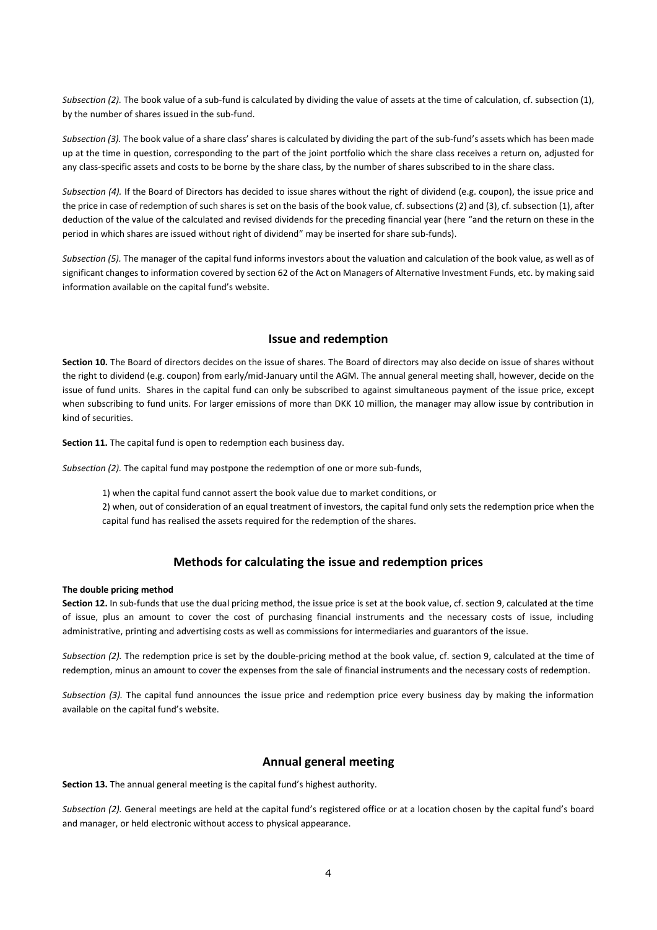*Subsection (2).* The book value of a sub-fund is calculated by dividing the value of assets at the time of calculation, cf. subsection (1), by the number of shares issued in the sub-fund.

*Subsection (3).* The book value of a share class' shares is calculated by dividing the part of the sub-fund's assets which has been made up at the time in question, corresponding to the part of the joint portfolio which the share class receives a return on, adjusted for any class-specific assets and costs to be borne by the share class, by the number of shares subscribed to in the share class.

*Subsection (4).* If the Board of Directors has decided to issue shares without the right of dividend (e.g. coupon), the issue price and the price in case of redemption of such shares is set on the basis of the book value, cf. subsections (2) and (3), cf. subsection (1), after deduction of the value of the calculated and revised dividends for the preceding financial year (here "and the return on these in the period in which shares are issued without right of dividend" may be inserted for share sub-funds).

*Subsection (5).* The manager of the capital fund informs investors about the valuation and calculation of the book value, as well as of significant changes to information covered by section 62 of the Act on Managers of Alternative Investment Funds, etc. by making said information available on the capital fund's website.

## **Issue and redemption**

**Section 10.** The Board of directors decides on the issue of shares. The Board of directors may also decide on issue of shares without the right to dividend (e.g. coupon) from early/mid-January until the AGM. The annual general meeting shall, however, decide on the issue of fund units. Shares in the capital fund can only be subscribed to against simultaneous payment of the issue price, except when subscribing to fund units. For larger emissions of more than DKK 10 million, the manager may allow issue by contribution in kind of securities.

**Section 11.** The capital fund is open to redemption each business day.

*Subsection (2).* The capital fund may postpone the redemption of one or more sub-funds,

1) when the capital fund cannot assert the book value due to market conditions, or

2) when, out of consideration of an equal treatment of investors, the capital fund only sets the redemption price when the capital fund has realised the assets required for the redemption of the shares.

# **Methods for calculating the issue and redemption prices**

#### **The double pricing method**

**Section 12.** In sub-funds that use the dual pricing method, the issue price is set at the book value, cf. section 9, calculated at the time of issue, plus an amount to cover the cost of purchasing financial instruments and the necessary costs of issue, including administrative, printing and advertising costs as well as commissions for intermediaries and guarantors of the issue.

*Subsection (2).* The redemption price is set by the double-pricing method at the book value, cf. section 9, calculated at the time of redemption, minus an amount to cover the expenses from the sale of financial instruments and the necessary costs of redemption.

*Subsection (3).* The capital fund announces the issue price and redemption price every business day by making the information available on the capital fund's website.

## **Annual general meeting**

**Section 13.** The annual general meeting is the capital fund's highest authority.

*Subsection (2).* General meetings are held at the capital fund's registered office or at a location chosen by the capital fund's board and manager, or held electronic without access to physical appearance.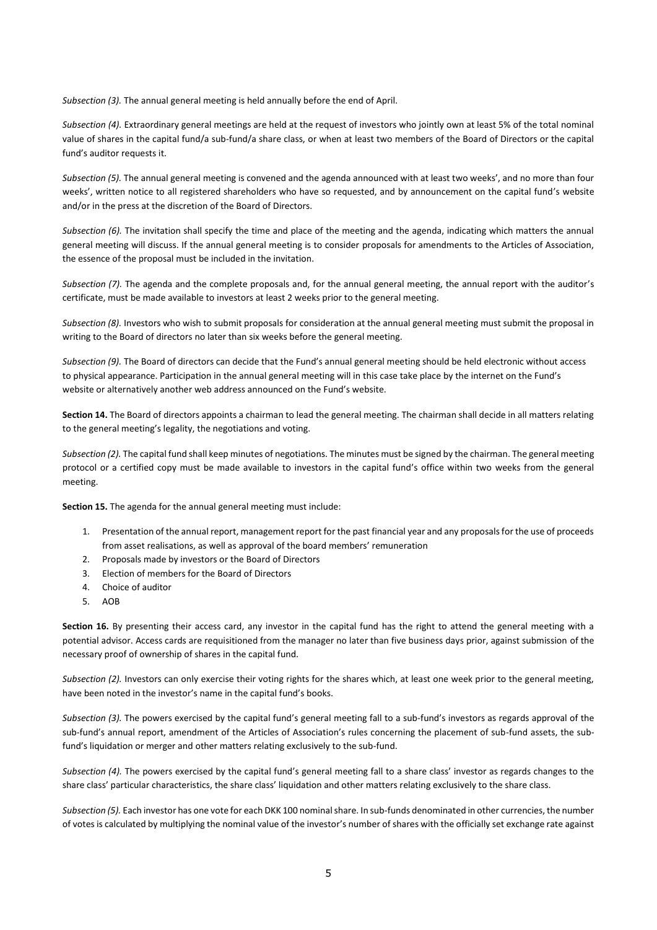*Subsection (3).* The annual general meeting is held annually before the end of April.

*Subsection (4).* Extraordinary general meetings are held at the request of investors who jointly own at least 5% of the total nominal value of shares in the capital fund/a sub-fund/a share class, or when at least two members of the Board of Directors or the capital fund's auditor requests it.

*Subsection (5).* The annual general meeting is convened and the agenda announced with at least two weeks', and no more than four weeks', written notice to all registered shareholders who have so requested, and by announcement on the capital fund's website and/or in the press at the discretion of the Board of Directors.

*Subsection (6).* The invitation shall specify the time and place of the meeting and the agenda, indicating which matters the annual general meeting will discuss. If the annual general meeting is to consider proposals for amendments to the Articles of Association, the essence of the proposal must be included in the invitation.

*Subsection (7).* The agenda and the complete proposals and, for the annual general meeting, the annual report with the auditor's certificate, must be made available to investors at least 2 weeks prior to the general meeting.

*Subsection (8).* Investors who wish to submit proposals for consideration at the annual general meeting must submit the proposal in writing to the Board of directors no later than six weeks before the general meeting.

*Subsection (9).* The Board of directors can decide that the Fund's annual general meeting should be held electronic without access to physical appearance. Participation in the annual general meeting will in this case take place by the internet on the Fund's website or alternatively another web address announced on the Fund's website.

**Section 14.** The Board of directors appoints a chairman to lead the general meeting. The chairman shall decide in all matters relating to the general meeting's legality, the negotiations and voting.

*Subsection (2).* The capital fund shall keep minutes of negotiations. The minutes must be signed by the chairman. The general meeting protocol or a certified copy must be made available to investors in the capital fund's office within two weeks from the general meeting.

**Section 15.** The agenda for the annual general meeting must include:

- 1. Presentation of the annual report, management report for the past financial year and any proposals for the use of proceeds from asset realisations, as well as approval of the board members' remuneration
- 2. Proposals made by investors or the Board of Directors
- 3. Election of members for the Board of Directors
- 4. Choice of auditor
- 5. AOB

**Section 16.** By presenting their access card, any investor in the capital fund has the right to attend the general meeting with a potential advisor. Access cards are requisitioned from the manager no later than five business days prior, against submission of the necessary proof of ownership of shares in the capital fund.

*Subsection (2).* Investors can only exercise their voting rights for the shares which, at least one week prior to the general meeting, have been noted in the investor's name in the capital fund's books.

*Subsection (3).* The powers exercised by the capital fund's general meeting fall to a sub-fund's investors as regards approval of the sub-fund's annual report, amendment of the Articles of Association's rules concerning the placement of sub-fund assets, the subfund's liquidation or merger and other matters relating exclusively to the sub-fund.

*Subsection (4).* The powers exercised by the capital fund's general meeting fall to a share class' investor as regards changes to the share class' particular characteristics, the share class' liquidation and other matters relating exclusively to the share class.

*Subsection (5).* Each investor has one vote for each DKK 100 nominal share. In sub-funds denominated in other currencies, the number of votes is calculated by multiplying the nominal value of the investor's number of shares with the officially set exchange rate against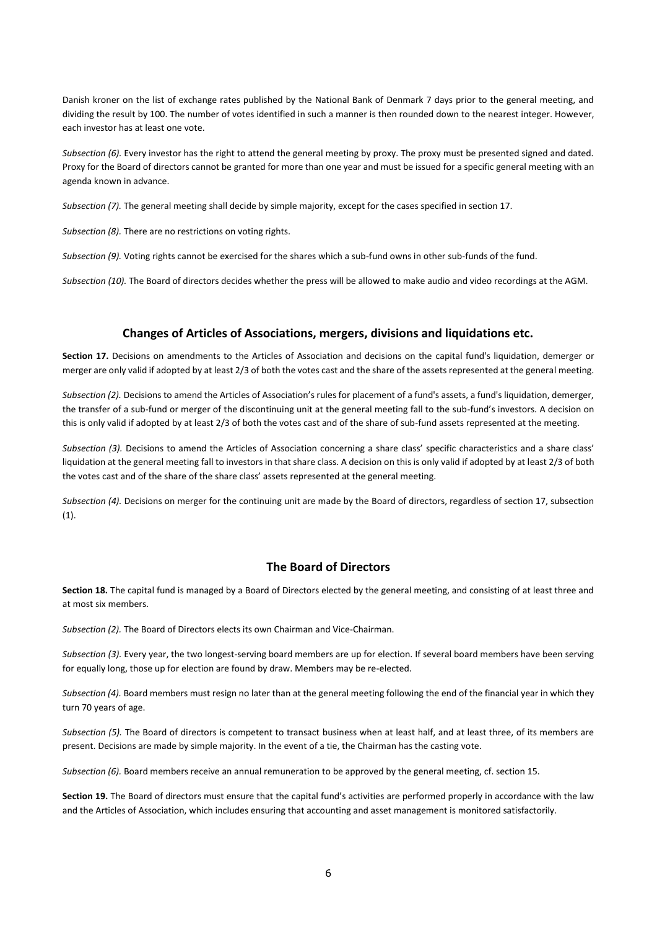Danish kroner on the list of exchange rates published by the National Bank of Denmark 7 days prior to the general meeting, and dividing the result by 100. The number of votes identified in such a manner is then rounded down to the nearest integer. However, each investor has at least one vote.

*Subsection (6).* Every investor has the right to attend the general meeting by proxy. The proxy must be presented signed and dated. Proxy for the Board of directors cannot be granted for more than one year and must be issued for a specific general meeting with an agenda known in advance.

*Subsection (7).* The general meeting shall decide by simple majority, except for the cases specified in section 17.

*Subsection (8).* There are no restrictions on voting rights.

*Subsection (9).* Voting rights cannot be exercised for the shares which a sub-fund owns in other sub-funds of the fund.

*Subsection (10).* The Board of directors decides whether the press will be allowed to make audio and video recordings at the AGM.

## **Changes of Articles of Associations, mergers, divisions and liquidations etc.**

**Section 17.** Decisions on amendments to the Articles of Association and decisions on the capital fund's liquidation, demerger or merger are only valid if adopted by at least 2/3 of both the votes cast and the share of the assets represented at the general meeting.

*Subsection (2).* Decisions to amend the Articles of Association's rules for placement of a fund's assets, a fund's liquidation, demerger, the transfer of a sub-fund or merger of the discontinuing unit at the general meeting fall to the sub-fund's investors. A decision on this is only valid if adopted by at least 2/3 of both the votes cast and of the share of sub-fund assets represented at the meeting.

*Subsection (3).* Decisions to amend the Articles of Association concerning a share class' specific characteristics and a share class' liquidation at the general meeting fall to investors in that share class. A decision on this is only valid if adopted by at least 2/3 of both the votes cast and of the share of the share class' assets represented at the general meeting.

*Subsection (4).* Decisions on merger for the continuing unit are made by the Board of directors, regardless of section 17, subsection (1).

# **The Board of Directors**

**Section 18.** The capital fund is managed by a Board of Directors elected by the general meeting, and consisting of at least three and at most six members.

*Subsection (2).* The Board of Directors elects its own Chairman and Vice-Chairman.

*Subsection (3).* Every year, the two longest-serving board members are up for election. If several board members have been serving for equally long, those up for election are found by draw. Members may be re-elected.

*Subsection (4).* Board members must resign no later than at the general meeting following the end of the financial year in which they turn 70 years of age.

*Subsection (5).* The Board of directors is competent to transact business when at least half, and at least three, of its members are present. Decisions are made by simple majority. In the event of a tie, the Chairman has the casting vote.

*Subsection (6).* Board members receive an annual remuneration to be approved by the general meeting, cf. section 15.

**Section 19.** The Board of directors must ensure that the capital fund's activities are performed properly in accordance with the law and the Articles of Association, which includes ensuring that accounting and asset management is monitored satisfactorily.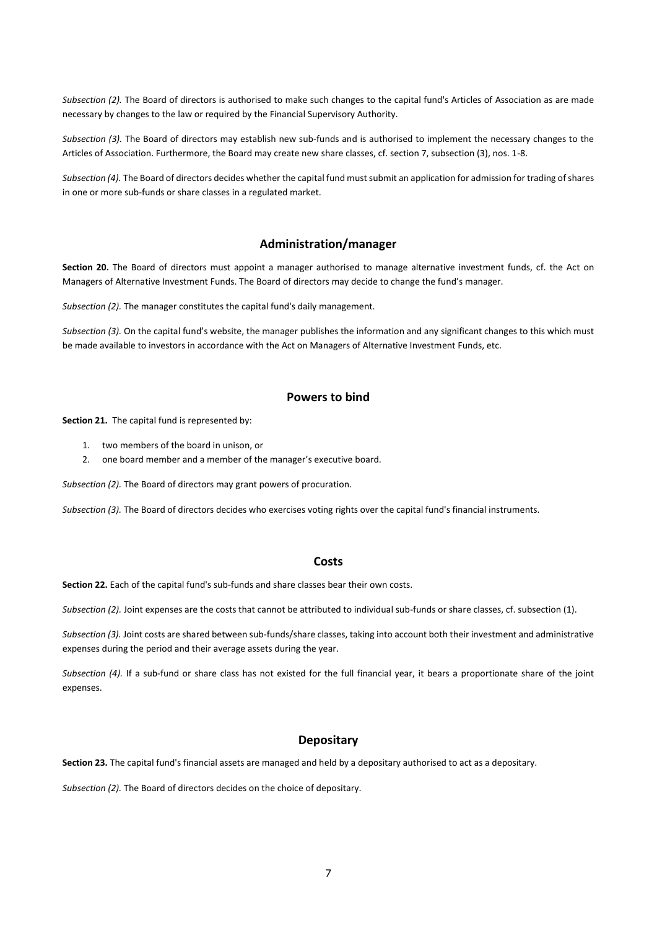*Subsection (2).* The Board of directors is authorised to make such changes to the capital fund's Articles of Association as are made necessary by changes to the law or required by the Financial Supervisory Authority.

*Subsection (3).* The Board of directors may establish new sub-funds and is authorised to implement the necessary changes to the Articles of Association. Furthermore, the Board may create new share classes, cf. section 7, subsection (3), nos. 1-8.

*Subsection (4).* The Board of directors decides whether the capital fund must submit an application for admission for trading of shares in one or more sub-funds or share classes in a regulated market.

## **Administration/manager**

**Section 20.** The Board of directors must appoint a manager authorised to manage alternative investment funds, cf. the Act on Managers of Alternative Investment Funds. The Board of directors may decide to change the fund's manager.

*Subsection (2).* The manager constitutes the capital fund's daily management.

*Subsection (3).* On the capital fund's website, the manager publishes the information and any significant changes to this which must be made available to investors in accordance with the Act on Managers of Alternative Investment Funds, etc.

## **Powers to bind**

**Section 21.** The capital fund is represented by:

- 1. two members of the board in unison, or
- 2. one board member and a member of the manager's executive board.

*Subsection (2).* The Board of directors may grant powers of procuration.

*Subsection (3).* The Board of directors decides who exercises voting rights over the capital fund's financial instruments.

#### **Costs**

**Section 22.** Each of the capital fund's sub-funds and share classes bear their own costs.

*Subsection (2).* Joint expenses are the costs that cannot be attributed to individual sub-funds or share classes, cf. subsection (1).

*Subsection (3).* Joint costs are shared between sub-funds/share classes, taking into account both their investment and administrative expenses during the period and their average assets during the year.

*Subsection (4).* If a sub-fund or share class has not existed for the full financial year, it bears a proportionate share of the joint expenses.

## **Depositary**

**Section 23.** The capital fund's financial assets are managed and held by a depositary authorised to act as a depositary.

*Subsection (2).* The Board of directors decides on the choice of depositary.